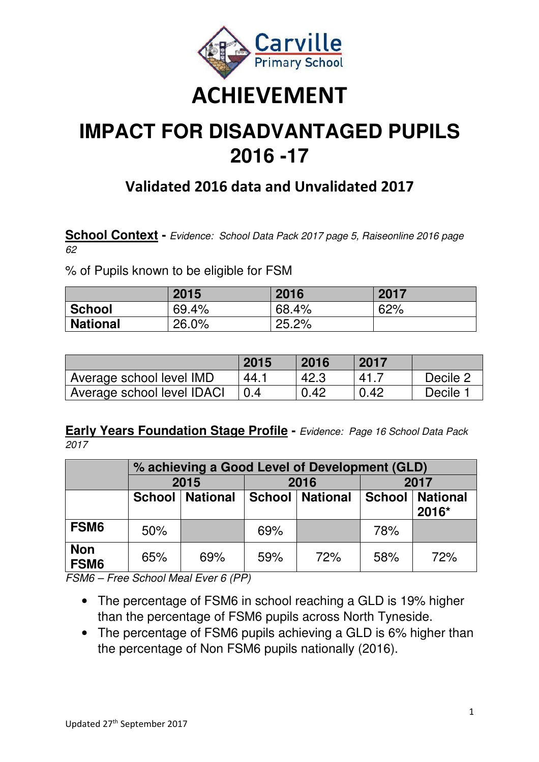

# **IMPACT FOR DISADVANTAGED PUPILS 2016 -17**

## **Validated 2016 data and Unvalidated 2017**

**School Context -** Evidence: School Data Pack 2017 page 5, Raiseonline 2016 page 62

% of Pupils known to be eligible for FSM

|                 | 2015  | 2016  | 2017 |
|-----------------|-------|-------|------|
| <b>School</b>   | 69.4% | 68.4% | 62%  |
| <b>National</b> | 26.0% | 25.2% |      |

|                            | 2015 | 2016 | 2017 |          |
|----------------------------|------|------|------|----------|
| Average school level IMD   | 44.7 | 42.3 | 41 E | Decile 2 |
| Average school level IDACI |      | 0.42 | 0.42 | Decile   |

**Early Years Foundation Stage Profile -** Evidence: Page 16 School Data Pack 2017

|                                |     | % achieving a Good Level of Development (GLD) |     |                          |      |                   |  |  |  |  |  |  |
|--------------------------------|-----|-----------------------------------------------|-----|--------------------------|------|-------------------|--|--|--|--|--|--|
|                                |     | 2015                                          |     | 2016                     | 2017 |                   |  |  |  |  |  |  |
|                                |     | School   National                             |     | <b>School   National</b> |      | School   National |  |  |  |  |  |  |
|                                |     |                                               |     |                          |      | 2016*             |  |  |  |  |  |  |
| FSM <sub>6</sub>               | 50% |                                               | 69% |                          | 78%  |                   |  |  |  |  |  |  |
| <b>Non</b><br>FSM <sub>6</sub> | 65% | 69%                                           | 59% | 72%                      | 58%  | 72%               |  |  |  |  |  |  |

FSM6 – Free School Meal Ever 6 (PP)

• The percentage of FSM6 in school reaching a GLD is 19% higher than the percentage of FSM6 pupils across North Tyneside.

• The percentage of FSM6 pupils achieving a GLD is 6% higher than the percentage of Non FSM6 pupils nationally (2016).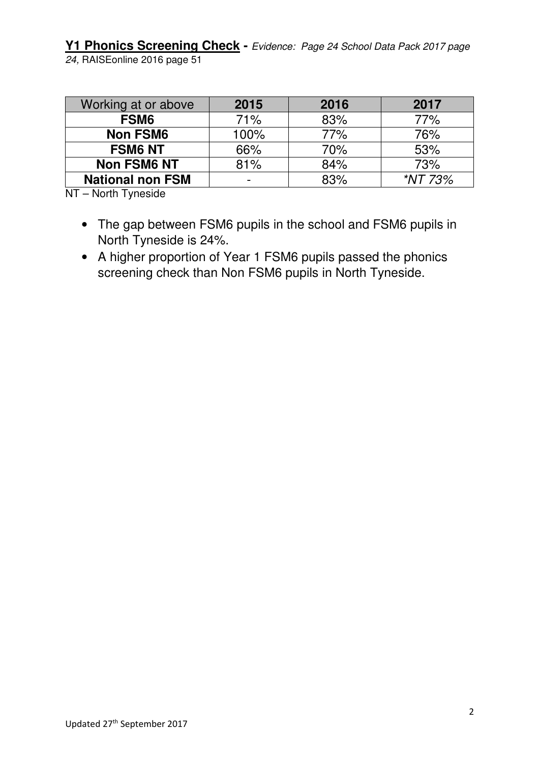**Y1 Phonics Screening Check -** Evidence: Page 24 School Data Pack 2017 page 24, RAISEonline 2016 page 51

| Working at or above     | 2015 | 2016 | 2017    |
|-------------------------|------|------|---------|
| FSM <sub>6</sub>        | 71%  | 83%  | 77%     |
| <b>Non FSM6</b>         | 100% | 77%  | 76%     |
| <b>FSM6 NT</b>          | 66%  | 70%  | 53%     |
| <b>Non FSM6 NT</b>      | 81%  | 84%  | 73%     |
| <b>National non FSM</b> |      | 83%  | *NT 73% |

NT – North Tyneside

- The gap between FSM6 pupils in the school and FSM6 pupils in North Tyneside is 24%.
- A higher proportion of Year 1 FSM6 pupils passed the phonics screening check than Non FSM6 pupils in North Tyneside.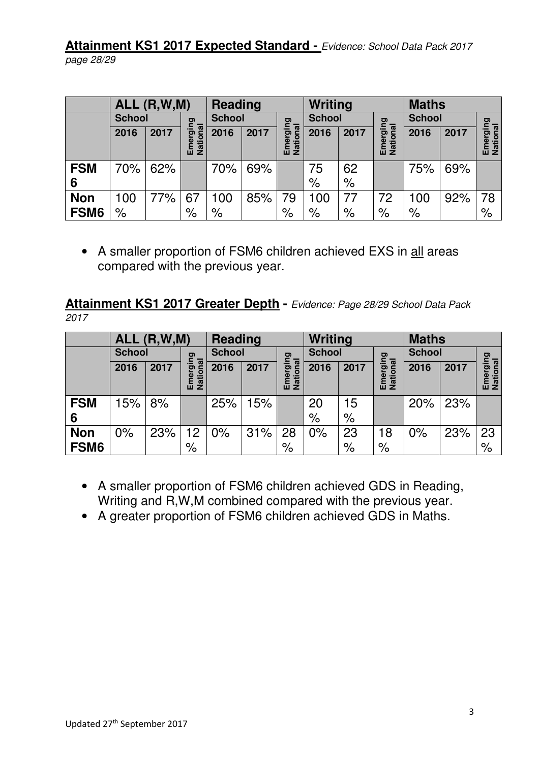**Attainment KS1 2017 Expected Standard -** Evidence: School Data Pack 2017 page 28/29

|                  |               | ALL(R,W,M) |                      | <b>Reading</b> |      |                                      | Writing              |                      |                      | <b>Maths</b>  |      |                      |
|------------------|---------------|------------|----------------------|----------------|------|--------------------------------------|----------------------|----------------------|----------------------|---------------|------|----------------------|
|                  | <b>School</b> |            |                      | <b>School</b>  |      | gui                                  | <b>School</b>        |                      | gui                  | <b>School</b> |      | pai                  |
|                  | 2016          | 2017       | erging               | 2016           | 2017 | $\overline{\mathfrak{a}}$<br>ರಾ<br>ā | 2016                 | 2017                 | ā<br>ā               | 2016          | 2017 |                      |
|                  |               |            | <b>National</b><br>Ĕ |                |      | Enti<br>Nati                         |                      |                      | National<br>띹        |               |      | Emerging<br>National |
| <b>FSM</b>       | 70%           | 62%        |                      | 70%            | 69%  |                                      | 75                   | 62                   |                      | 75%           | 69%  |                      |
| 6                |               |            |                      |                |      |                                      | $\%$                 | $\%$                 |                      |               |      |                      |
| <b>Non</b>       | 100           | 77%        | 67                   | 100            | 85%  | 79                                   | 100                  | 77                   | 72                   | 100           | 92%  | 78                   |
| FSM <sub>6</sub> | $\%$          |            | $\%$                 | $\%$           |      | $\frac{1}{\sqrt{2}}$                 | $\frac{1}{\sqrt{2}}$ | $\frac{1}{\sqrt{2}}$ | $\frac{1}{\sqrt{2}}$ | $\%$          |      | $\frac{1}{\sqrt{2}}$ |

• A smaller proportion of FSM6 children achieved EXS in all areas compared with the previous year.

**Attainment KS1 2017 Greater Depth -** Evidence: Page 28/29 School Data Pack 2017

|                  |               | ALL(R,W,M) |                         | <b>Reading</b> |      |                                | Writing       |                      | <b>Maths</b>         |               |      |                      |
|------------------|---------------|------------|-------------------------|----------------|------|--------------------------------|---------------|----------------------|----------------------|---------------|------|----------------------|
|                  | <b>School</b> |            |                         | <b>School</b>  |      | ging                           | <b>School</b> |                      |                      | <b>School</b> |      | ig.                  |
|                  | 2016          | 2017       | rging                   | 2016           | 2017 | $\overline{B}$<br>$\circ$<br>Φ | 2016          | 2017                 | ging<br>onal<br>ō    | 2016          | 2017 |                      |
|                  |               |            | <b>National</b><br>Emer |                |      | <u>Tati</u><br>띹               |               |                      | Nati<br>Ĕ            |               |      | Emerging<br>National |
| <b>FSM</b>       | 15%           | 8%         |                         | 25%            | 15%  |                                | 20            | 15                   |                      | 20%           | 23%  |                      |
| 6                |               |            |                         |                |      |                                | $\%$          | $\frac{1}{\sqrt{2}}$ |                      |               |      |                      |
| <b>Non</b>       | 0%            | 23%        | 12 <sub>2</sub>         | 0%             | 31%  | 28                             | 0%            | 23                   | 18                   | 0%            | 23%  | 23                   |
| FSM <sub>6</sub> |               |            | $\%$                    |                |      | $\%$                           |               | $\frac{1}{\sqrt{2}}$ | $\frac{1}{\sqrt{2}}$ |               |      | $\frac{1}{\sqrt{2}}$ |

- A smaller proportion of FSM6 children achieved GDS in Reading, Writing and R,W,M combined compared with the previous year.
- A greater proportion of FSM6 children achieved GDS in Maths.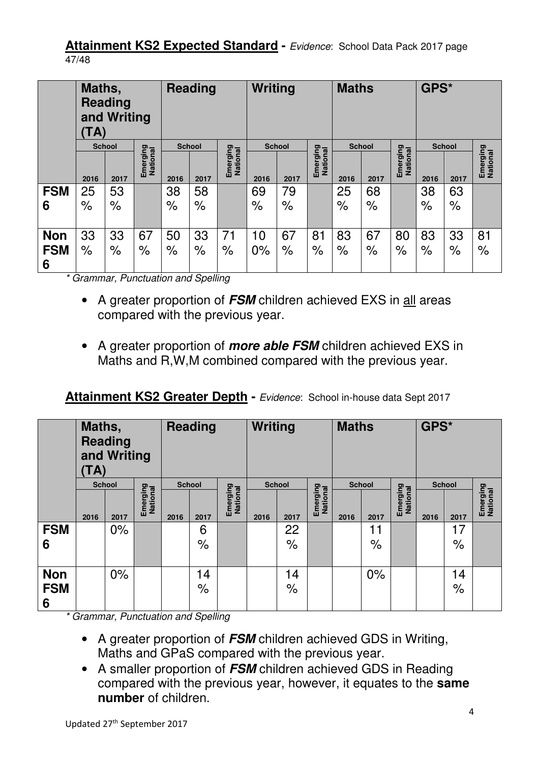**Attainment KS2 Expected Standard - Evidence: School Data Pack 2017 page** 47/48

|                 | Maths,<br>TA)        | <b>Reading</b><br>and Writing |                      | <b>Reading</b> |                      | Writing              |                      | <b>Maths</b>  |                      |      | GPS*                 |                      |                      |                      |                      |
|-----------------|----------------------|-------------------------------|----------------------|----------------|----------------------|----------------------|----------------------|---------------|----------------------|------|----------------------|----------------------|----------------------|----------------------|----------------------|
|                 |                      | <b>School</b>                 |                      |                | <b>School</b>        |                      |                      | <b>School</b> |                      |      | <b>School</b>        |                      |                      | <b>School</b>        |                      |
|                 | 2016                 | 2017                          | Emerging<br>National | 2016           | 2017                 | Emerging<br>National | 2016                 | 2017          | Emerging<br>National | 2016 | 2017                 | Emerging<br>National | 2016                 | 2017                 | Emerging<br>National |
| <b>FSM</b>      | 25                   | 53                            |                      | 38             | 58                   |                      | 69                   | 79            |                      | 25   | 68                   |                      | 38                   | 63                   |                      |
| 6               | $\frac{1}{\sqrt{2}}$ | $\%$                          |                      | $\%$           | $\frac{1}{\sqrt{2}}$ |                      | $\frac{1}{\sqrt{2}}$ | $\%$          |                      | $\%$ | $\frac{1}{\sqrt{2}}$ |                      | $\frac{1}{\sqrt{2}}$ | $\frac{1}{\sqrt{2}}$ |                      |
| <b>Non</b>      | 33                   | 33                            | 67                   | 50             | 33                   | 71                   | 10                   | 67            | 8 <sup>1</sup>       | 83   | 67                   | 80                   | 83                   | 33                   | 81                   |
| <b>FSM</b><br>6 | $\frac{1}{\sqrt{2}}$ | $\frac{1}{\sqrt{2}}$          | $\%$                 | $\%$           | $\%$                 | $\%$                 | $0\%$                | $\%$          | $\%$                 | $\%$ | $\frac{1}{\sqrt{2}}$ | $\frac{1}{\sqrt{2}}$ | $\frac{1}{\sqrt{2}}$ | $\%$                 | $\%$                 |

\* Grammar, Punctuation and Spelling

- A greater proportion of **FSM** children achieved EXS in all areas compared with the previous year.
- A greater proportion of **more able FSM** children achieved EXS in Maths and R,W,M combined compared with the previous year.

#### **Attainment KS2 Greater Depth - Evidence: School in-house data Sept 2017**

|                               | Maths,<br><b>Reading</b><br><b>Reading</b><br>and Writing<br>TA) |               |                      |               | Writing              |                      |               | <b>Maths</b> |                      |      | GPS*                 |                      |      |               |                      |
|-------------------------------|------------------------------------------------------------------|---------------|----------------------|---------------|----------------------|----------------------|---------------|--------------|----------------------|------|----------------------|----------------------|------|---------------|----------------------|
|                               |                                                                  | <b>School</b> |                      | <b>School</b> |                      |                      | <b>School</b> |              |                      |      | <b>School</b>        |                      |      | <b>School</b> |                      |
|                               | 2016                                                             | 2017          | Emerging<br>National | 2016          | 2017                 | Emerging<br>National | 2016          | 2017         | Emerging<br>National | 2016 | 2017                 | Emerging<br>National | 2016 | 2017          | Emerging<br>National |
| <b>FSM</b>                    |                                                                  | $0\%$         |                      |               | 6                    |                      |               | 22           |                      |      | 11                   |                      |      | 17            |                      |
| 6                             |                                                                  |               |                      |               | $\frac{1}{\sqrt{2}}$ |                      |               | $\%$         |                      |      | $\frac{1}{\sqrt{2}}$ |                      |      | $\%$          |                      |
| <b>Non</b><br><b>FSM</b><br>6 |                                                                  | $0\%$         |                      |               | 14<br>$\%$           |                      |               | 14<br>$\%$   |                      |      | 0%                   |                      |      | 14<br>$\%$    |                      |

\* Grammar, Punctuation and Spelling

- A greater proportion of **FSM** children achieved GDS in Writing, Maths and GPaS compared with the previous year.
- A smaller proportion of **FSM** children achieved GDS in Reading compared with the previous year, however, it equates to the **same number** of children.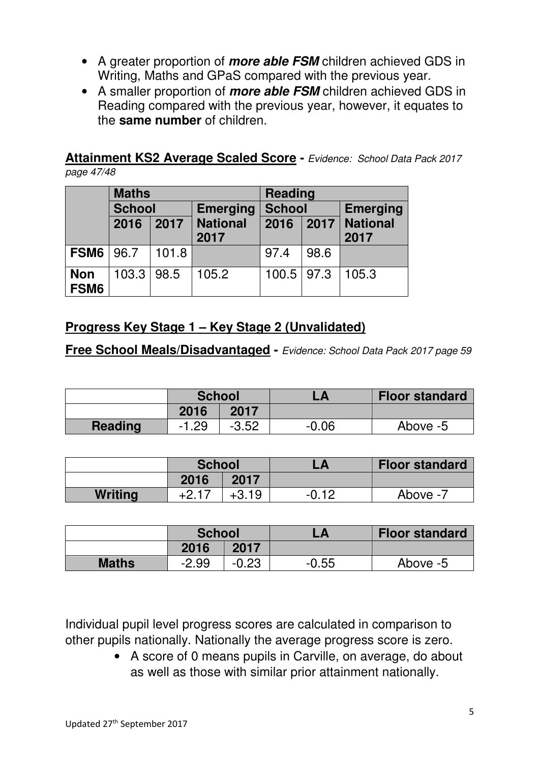- A greater proportion of **more able FSM** children achieved GDS in Writing, Maths and GPaS compared with the previous year.
- A smaller proportion of **more able FSM** children achieved GDS in Reading compared with the previous year, however, it equates to the **same number** of children.

**Attainment KS2 Average Scaled Score -** Evidence: School Data Pack 2017 page 47/48

|                    | <b>Maths</b>  |       |                 | <b>Reading</b> |      |                 |  |  |
|--------------------|---------------|-------|-----------------|----------------|------|-----------------|--|--|
|                    | <b>School</b> |       | <b>Emerging</b> | <b>School</b>  |      | <b>Emerging</b> |  |  |
|                    | 2016          | 2017  | <b>National</b> | 2016           | 2017 | <b>National</b> |  |  |
|                    |               | 2017  |                 |                |      | 2017            |  |  |
| <b>FSM6</b> 96.7   |               | 101.8 |                 | 97.4           | 98.6 |                 |  |  |
| <b>Non</b><br>FSM6 | $103.3$ 98.5  |       | 105.2           | $100.5$   97.3 |      | 105.3           |  |  |

#### **Progress Key Stage 1 – Key Stage 2 (Unvalidated)**

**Free School Meals/Disadvantaged -** Evidence: School Data Pack 2017 page 59

|                | <b>School</b> |         |         | <b>Floor standard</b> |
|----------------|---------------|---------|---------|-----------------------|
|                | 2016          | 2017    |         |                       |
| <b>Reading</b> | $-1.29$       | $-3.52$ | $-0.06$ | Above -5              |

|                | <b>School</b>       |         |         | <b>Floor standard</b> |
|----------------|---------------------|---------|---------|-----------------------|
|                | 2016                | 2017    |         |                       |
| <b>Writing</b> | $+2.1$ <sup>-</sup> | $+3.19$ | $-0.12$ | Above -7              |

|              | <b>School</b> |         |         | <b>Floor standard</b> |
|--------------|---------------|---------|---------|-----------------------|
|              | 2016          | 2017    |         |                       |
| <b>Maths</b> | $-2.99$       | $-0.23$ | $-0.55$ | Above -5              |

Individual pupil level progress scores are calculated in comparison to other pupils nationally. Nationally the average progress score is zero.

> • A score of 0 means pupils in Carville, on average, do about as well as those with similar prior attainment nationally.